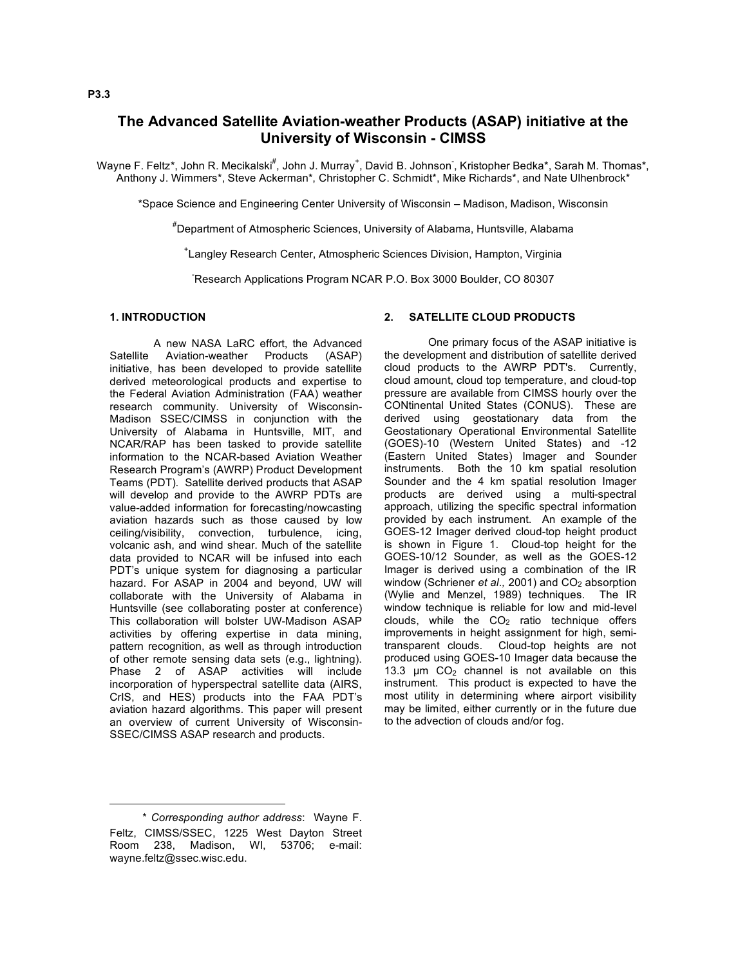# **The Advanced Satellite Aviation-weather Products (ASAP) initiative at the University of Wisconsin - CIMSS**

Wayne F. Feltz\*, John R. Mecikalski<sup>#</sup>, John J. Murray<sup>+</sup>, David B. Johnson<sup>-</sup>, Kristopher Bedka\*, Sarah M. Thomas\*, Anthony J. Wimmers\*, Steve Ackerman\*, Christopher C. Schmidt\*, Mike Richards\*, and Nate Ulhenbrock\*

\*Space Science and Engineering Center University of Wisconsin – Madison, Madison, Wisconsin

# Department of Atmospheric Sciences, University of Alabama, Huntsville, Alabama

+ Langley Research Center, Atmospheric Sciences Division, Hampton, Virginia

- Research Applications Program NCAR P.O. Box 3000 Boulder, CO 80307

## **1. INTRODUCTION**

A new NASA LaRC effort, the Advanced Satellite Aviation-weather Products (ASAP) initiative, has been developed to provide satellite derived meteorological products and expertise to the Federal Aviation Administration (FAA) weather research community. University of Wisconsin-Madison SSEC/CIMSS in conjunction with the University of Alabama in Huntsville, MIT, and NCAR/RAP has been tasked to provide satellite information to the NCAR-based Aviation Weather Research Program's (AWRP) Product Development Teams (PDT). Satellite derived products that ASAP will develop and provide to the AWRP PDTs are value-added information for forecasting/nowcasting aviation hazards such as those caused by low ceiling/visibility, convection, turbulence, icing, volcanic ash, and wind shear. Much of the satellite data provided to NCAR will be infused into each PDT's unique system for diagnosing a particular hazard. For ASAP in 2004 and beyond, UW will collaborate with the University of Alabama in Huntsville (see collaborating poster at conference) This collaboration will bolster UW-Madison ASAP activities by offering expertise in data mining, pattern recognition, as well as through introduction of other remote sensing data sets (e.g., lightning). Phase 2 of ASAP activities will include incorporation of hyperspectral satellite data (AIRS, CrIS, and HES) products into the FAA PDT's aviation hazard algorithms. This paper will present an overview of current University of Wisconsin-SSEC/CIMSS ASAP research and products.

## **2. SATELLITE CLOUD PRODUCTS**

One primary focus of the ASAP initiative is the development and distribution of satellite derived cloud products to the AWRP PDT's. Currently, cloud amount, cloud top temperature, and cloud-top pressure are available from CIMSS hourly over the CONtinental United States (CONUS). These are derived using geostationary data from the Geostationary Operational Environmental Satellite (GOES)-10 (Western United States) and -12 (Eastern United States) Imager and Sounder instruments. Both the 10 km spatial resolution Sounder and the 4 km spatial resolution Imager products are derived using a multi-spectral approach, utilizing the specific spectral information provided by each instrument. An example of the GOES-12 Imager derived cloud-top height product is shown in Figure 1. Cloud-top height for the GOES-10/12 Sounder, as well as the GOES-12 Imager is derived using a combination of the IR window (Schriener *et al.*, 2001) and CO<sub>2</sub> absorption (Wylie and Menzel, 1989) techniques. The IR window technique is reliable for low and mid-level clouds, while the  $CO<sub>2</sub>$  ratio technique offers improvements in height assignment for high, semitransparent clouds. Cloud-top heights are not produced using GOES-10 Imager data because the 13.3  $\mu$ m CO<sub>2</sub> channel is not available on this instrument. This product is expected to have the most utility in determining where airport visibility may be limited, either currently or in the future due to the advection of clouds and/or fog.

 $\overline{a}$ 

<sup>\*</sup> *Corresponding author address*: Wayne F. Feltz, CIMSS/SSEC, 1225 West Dayton Street Room 238, Madison, WI, 53706; e-mail: wayne.feltz@ssec.wisc.edu.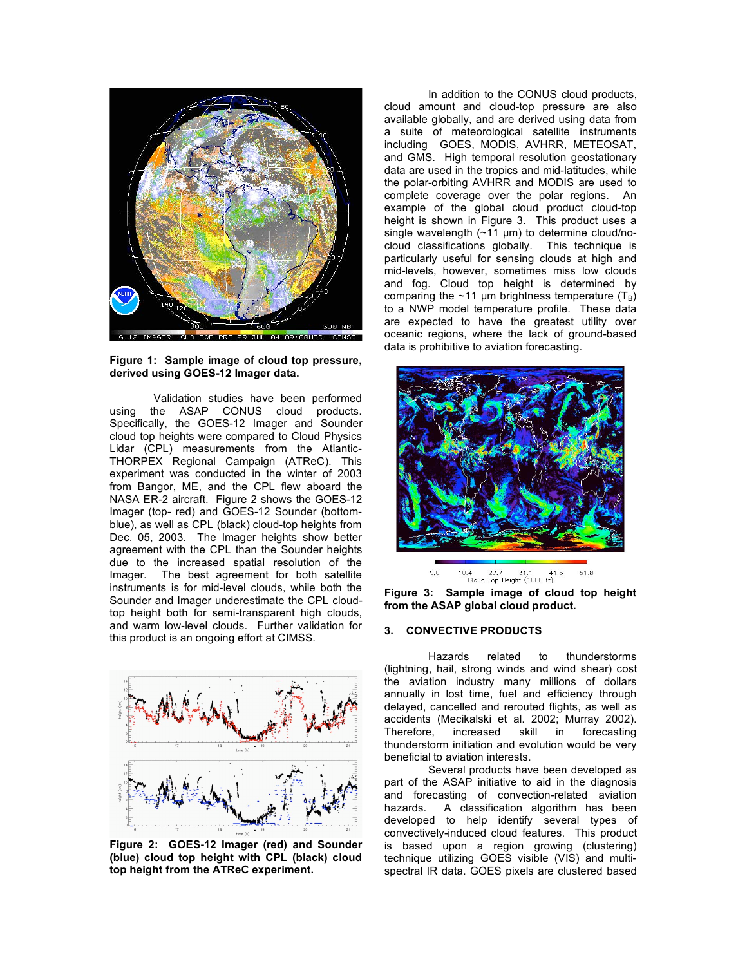

**Figure 1: Sample image of cloud top pressure, derived using GOES-12 Imager data.**

Validation studies have been performed using the ASAP CONUS cloud products. Specifically, the GOES-12 Imager and Sounder cloud top heights were compared to Cloud Physics Lidar (CPL) measurements from the Atlantic-THORPEX Regional Campaign (ATReC). This experiment was conducted in the winter of 2003 from Bangor, ME, and the CPL flew aboard the NASA ER-2 aircraft. Figure 2 shows the GOES-12 Imager (top- red) and GOES-12 Sounder (bottomblue), as well as CPL (black) cloud-top heights from Dec. 05, 2003. The Imager heights show better agreement with the CPL than the Sounder heights due to the increased spatial resolution of the Imager. The best agreement for both satellite instruments is for mid-level clouds, while both the Sounder and Imager underestimate the CPL cloudtop height both for semi-transparent high clouds, and warm low-level clouds. Further validation for this product is an ongoing effort at CIMSS.



**Figure 2: GOES-12 Imager (red) and Sounder (blue) cloud top height with CPL (black) cloud top height from the ATReC experiment.**

In addition to the CONUS cloud products, cloud amount and cloud-top pressure are also available globally, and are derived using data from a suite of meteorological satellite instruments including GOES, MODIS, AVHRR, METEOSAT, and GMS. High temporal resolution geostationary data are used in the tropics and mid-latitudes, while the polar-orbiting AVHRR and MODIS are used to complete coverage over the polar regions. An example of the global cloud product cloud-top height is shown in Figure 3. This product uses a single wavelength (~11 µm) to determine cloud/nocloud classifications globally. This technique is particularly useful for sensing clouds at high and mid-levels, however, sometimes miss low clouds and fog. Cloud top height is determined by comparing the ~11 µm brightness temperature  $(T_B)$ to a NWP model temperature profile. These data are expected to have the greatest utility over oceanic regions, where the lack of ground-based data is prohibitive to aviation forecasting.



10.4 20.7 31.1 41.5<br>Cloud Top Height (1000 ft)  $0.0$ 51.8

**Figure 3: Sample image of cloud top height from the ASAP global cloud product.**

### **3. CONVECTIVE PRODUCTS**

Hazards related to thunderstorms (lightning, hail, strong winds and wind shear) cost the aviation industry many millions of dollars annually in lost time, fuel and efficiency through delayed, cancelled and rerouted flights, as well as accidents (Mecikalski et al. 2002; Murray 2002). Therefore, increased skill in forecasting thunderstorm initiation and evolution would be very beneficial to aviation interests.

Several products have been developed as part of the ASAP initiative to aid in the diagnosis and forecasting of convection-related aviation hazards. A classification algorithm has been developed to help identify several types of convectively-induced cloud features. This product is based upon a region growing (clustering) technique utilizing GOES visible (VIS) and multispectral IR data. GOES pixels are clustered based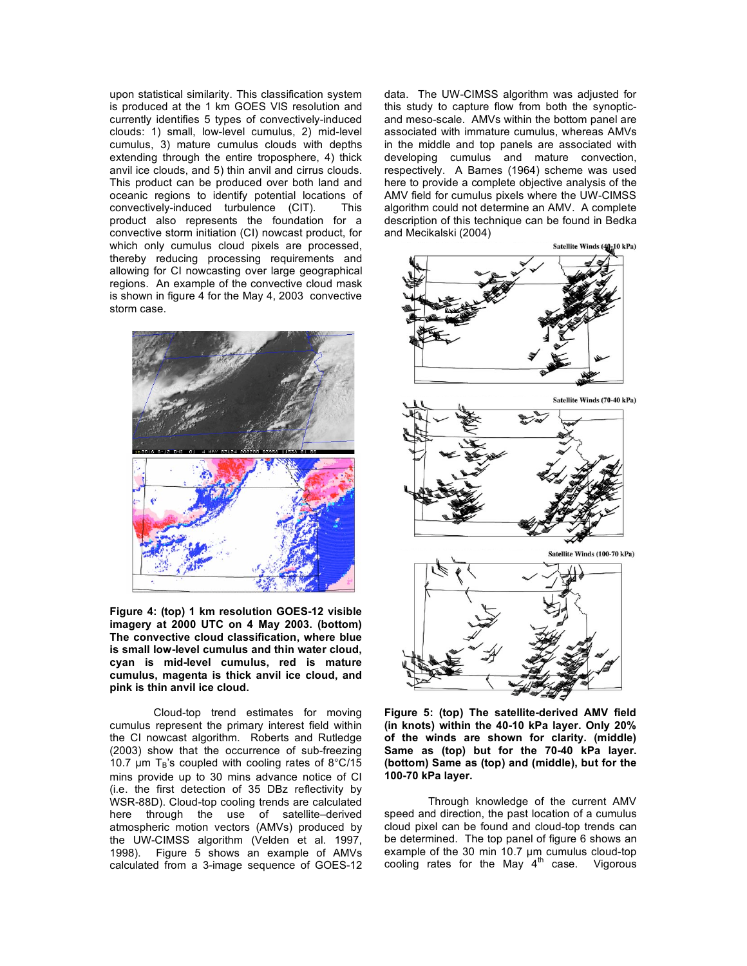upon statistical similarity. This classification system is produced at the 1 km GOES VIS resolution and currently identifies 5 types of convectively-induced clouds: 1) small, low-level cumulus, 2) mid-level cumulus, 3) mature cumulus clouds with depths extending through the entire troposphere, 4) thick anvil ice clouds, and 5) thin anvil and cirrus clouds. This product can be produced over both land and oceanic regions to identify potential locations of convectively-induced turbulence (CIT). This product also represents the foundation for a convective storm initiation (CI) nowcast product, for which only cumulus cloud pixels are processed, thereby reducing processing requirements and allowing for CI nowcasting over large geographical regions. An example of the convective cloud mask is shown in figure 4 for the May 4, 2003 convective storm case.



**Figure 4: (top) 1 km resolution GOES-12 visible imagery at 2000 UTC on 4 May 2003. (bottom) The convective cloud classification, where blue is small low-level cumulus and thin water cloud, cyan is mid-level cumulus, red is mature cumulus, magenta is thick anvil ice cloud, and pink is thin anvil ice cloud.**

Cloud-top trend estimates for moving cumulus represent the primary interest field within the CI nowcast algorithm. Roberts and Rutledge (2003) show that the occurrence of sub-freezing 10.7  $\mu$ m T<sub>B</sub>'s coupled with cooling rates of 8°C/15 mins provide up to 30 mins advance notice of CI (i.e. the first detection of 35 DBz reflectivity by WSR-88D). Cloud-top cooling trends are calculated here through the use of satellite–derived atmospheric motion vectors (AMVs) produced by the UW-CIMSS algorithm (Velden et al. 1997, 1998). Figure 5 shows an example of AMVs calculated from a 3-image sequence of GOES-12 data. The UW-CIMSS algorithm was adjusted for this study to capture flow from both the synopticand meso-scale. AMVs within the bottom panel are associated with immature cumulus, whereas AMVs in the middle and top panels are associated with developing cumulus and mature convection, respectively. A Barnes (1964) scheme was used here to provide a complete objective analysis of the AMV field for cumulus pixels where the UW-CIMSS algorithm could not determine an AMV. A complete description of this technique can be found in Bedka and Mecikalski (2004)



**Figure 5: (top) The satellite-derived AMV field (in knots) within the 40-10 kPa layer. Only 20% of the winds are shown for clarity. (middle) Same as (top) but for the 70-40 kPa layer. (bottom) Same as (top) and (middle), but for the 100-70 kPa layer.**

Through knowledge of the current AMV speed and direction, the past location of a cumulus cloud pixel can be found and cloud-top trends can be determined. The top panel of figure 6 shows an example of the 30 min 10.7 µm cumulus cloud-top cooling rates for the May  $4<sup>th</sup>$  case. Vigorous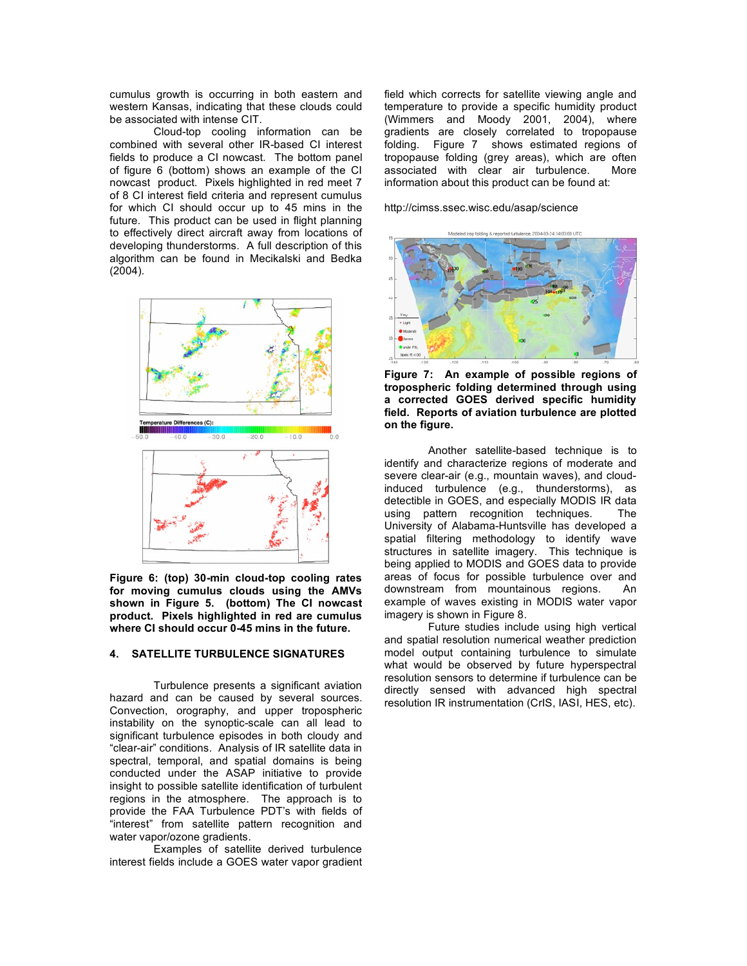cumulus growth is occurring in both eastern and western Kansas, indicating that these clouds could be associated with intense CIT.

Cloud-top cooling information can be combined with several other IR-based CI interest fields to produce a CI nowcast. The bottom panel of figure 6 (bottom) shows an example of the CI nowcast product. Pixels highlighted in red meet 7 of 8 CI interest field criteria and represent cumulus for which CI should occur up to 45 mins in the future. This product can be used in flight planning to effectively direct aircraft away from locations of developing thunderstorms. A full description of this algorithm can be found in Mecikalski and Bedka (2004).



**Figure 6: (top) 30-min cloud-top cooling rates for moving cumulus clouds using the AMVs shown in Figure 5. (bottom) The CI nowcast product. Pixels highlighted in red are cumulus where CI should occur 0-45 mins in the future.**

#### **4. SATELLITE TURBULENCE SIGNATURES**

Turbulence presents a significant aviation hazard and can be caused by several sources. Convection, orography, and upper tropospheric instability on the synoptic-scale can all lead to significant turbulence episodes in both cloudy and "clear-air" conditions. Analysis of IR satellite data in spectral, temporal, and spatial domains is being conducted under the ASAP initiative to provide insight to possible satellite identification of turbulent regions in the atmosphere. The approach is to provide the FAA Turbulence PDT's with fields of "interest" from satellite pattern recognition and water vapor/ozone gradients.

Examples of satellite derived turbulence interest fields include a GOES water vapor gradient field which corrects for satellite viewing angle and temperature to provide a specific humidity product (Wimmers and Moody 2001, 2004), where gradients are closely correlated to tropopause folding. Figure 7 shows estimated regions of tropopause folding (grey areas), which are often associated with clear air turbulence. More information about this product can be found at:

http://cimss.ssec.wisc.edu/asap/science



**Figure 7: An example of possible regions of tropospheric folding determined through using a corrected GOES derived specific humidity field. Reports of aviation turbulence are plotted on the figure.**

Another satellite-based technique is to identify and characterize regions of moderate and severe clear-air (e.g., mountain waves), and cloudinduced turbulence (e.g., thunderstorms), as detectible in GOES, and especially MODIS IR data using pattern recognition techniques. The University of Alabama-Huntsville has developed a spatial filtering methodology to identify wave structures in satellite imagery. This technique is being applied to MODIS and GOES data to provide areas of focus for possible turbulence over and downstream from mountainous regions. An example of waves existing in MODIS water vapor imagery is shown in Figure 8.

Future studies include using high vertical and spatial resolution numerical weather prediction model output containing turbulence to simulate what would be observed by future hyperspectral resolution sensors to determine if turbulence can be directly sensed with advanced high spectral resolution IR instrumentation (CrIS, IASI, HES, etc).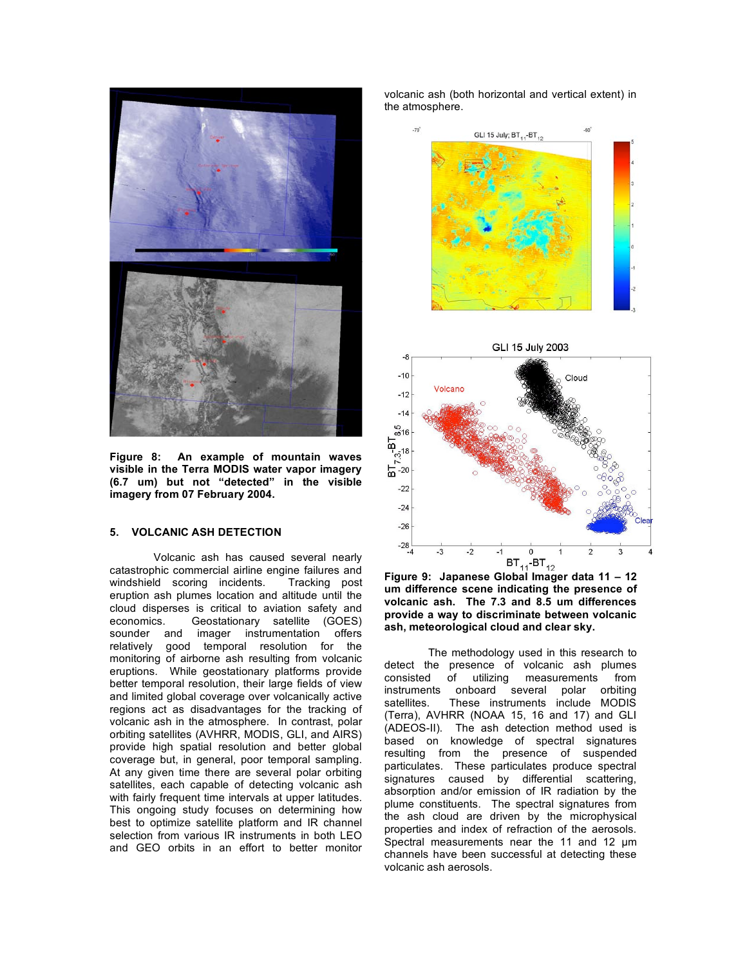

**Figure 8: An example of mountain waves visible in the Terra MODIS water vapor imagery (6.7 um) but not "detected" in the visible imagery from 07 February 2004.**

# **5. VOLCANIC ASH DETECTION**

Volcanic ash has caused several nearly catastrophic commercial airline engine failures and windshield scoring incidents. Tracking post eruption ash plumes location and altitude until the cloud disperses is critical to aviation safety and economics. Geostationary satellite (GOES) sounder and imager instrumentation offers relatively good temporal resolution for the monitoring of airborne ash resulting from volcanic eruptions. While geostationary platforms provide better temporal resolution, their large fields of view and limited global coverage over volcanically active regions act as disadvantages for the tracking of volcanic ash in the atmosphere. In contrast, polar orbiting satellites (AVHRR, MODIS, GLI, and AIRS) provide high spatial resolution and better global coverage but, in general, poor temporal sampling. At any given time there are several polar orbiting satellites, each capable of detecting volcanic ash with fairly frequent time intervals at upper latitudes. This ongoing study focuses on determining how best to optimize satellite platform and IR channel selection from various IR instruments in both LEO and GEO orbits in an effort to better monitor volcanic ash (both horizontal and vertical extent) in the atmosphere.



**Figure 9: Japanese Global Imager data 11 – 12 um difference scene indicating the presence of volcanic ash. The 7.3 and 8.5 um differences provide a way to discriminate between volcanic ash, meteorological cloud and clear sky.**

The methodology used in this research to detect the presence of volcanic ash plumes<br>consisted of utilizing measurements from consisted of utilizing instruments onboard several polar orbiting<br>satellites. These instruments include MODIS These instruments include MODIS (Terra), AVHRR (NOAA 15, 16 and 17) and GLI (ADEOS-II). The ash detection method used is based on knowledge of spectral signatures resulting from the presence of suspended particulates. These particulates produce spectral signatures caused by differential scattering, absorption and/or emission of IR radiation by the plume constituents. The spectral signatures from the ash cloud are driven by the microphysical properties and index of refraction of the aerosols. Spectral measurements near the 11 and 12  $\mu$ m channels have been successful at detecting these volcanic ash aerosols.